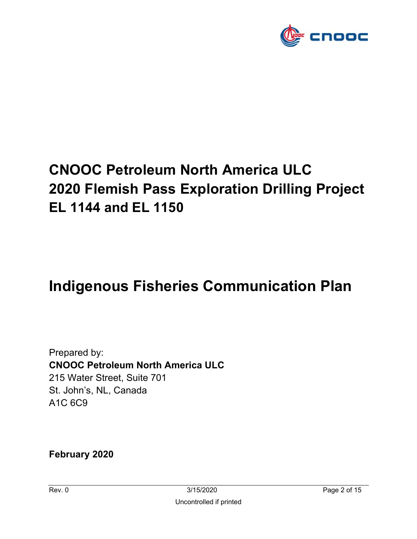

# **CNOOC Petroleum North America ULC 2020 Flemish Pass Exploration Drilling Project EL 1144 and EL 1150**

# **Indigenous Fisheries Communication Plan**

Prepared by: **CNOOC Petroleum North America ULC**  215 Water Street, Suite 701 St. John's, NL, Canada A1C 6C9

**February 2020**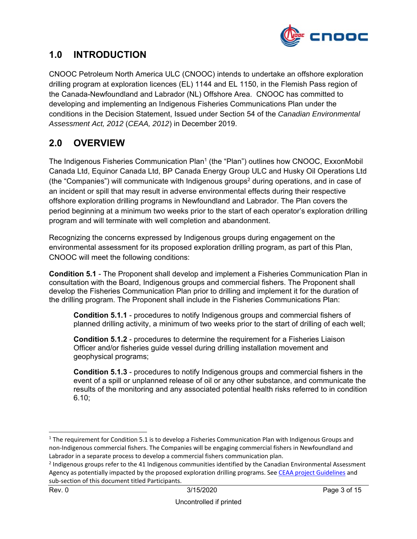

### **1.0 INTRODUCTION**

CNOOC Petroleum North America ULC (CNOOC) intends to undertake an offshore exploration drilling program at exploration licences (EL) 1144 and EL 1150, in the Flemish Pass region of the Canada-Newfoundland and Labrador (NL) Offshore Area. CNOOC has committed to developing and implementing an Indigenous Fisheries Communications Plan under the conditions in the Decision Statement, Issued under Section 54 of the *Canadian Environmental Assessment Act, 2012* (*CEAA, 2012*) in December 2019.

# **2.0 OVERVIEW**

The Indigenous Fisheries Communication Plan<sup>1</sup> (the "Plan") outlines how CNOOC, ExxonMobil Canada Ltd, Equinor Canada Ltd, BP Canada Energy Group ULC and Husky Oil Operations Ltd (the "Companies") will communicate with Indigenous groups2 during operations, and in case of an incident or spill that may result in adverse environmental effects during their respective offshore exploration drilling programs in Newfoundland and Labrador. The Plan covers the period beginning at a minimum two weeks prior to the start of each operator's exploration drilling program and will terminate with well completion and abandonment.

Recognizing the concerns expressed by Indigenous groups during engagement on the environmental assessment for its proposed exploration drilling program, as part of this Plan, CNOOC will meet the following conditions:

**Condition 5.1** - The Proponent shall develop and implement a Fisheries Communication Plan in consultation with the Board, Indigenous groups and commercial fishers. The Proponent shall develop the Fisheries Communication Plan prior to drilling and implement it for the duration of the drilling program. The Proponent shall include in the Fisheries Communications Plan:

**Condition 5.1.1** - procedures to notify Indigenous groups and commercial fishers of planned drilling activity, a minimum of two weeks prior to the start of drilling of each well;

**Condition 5.1.2** - procedures to determine the requirement for a Fisheries Liaison Officer and/or fisheries guide vessel during drilling installation movement and geophysical programs;

**Condition 5.1.3** - procedures to notify Indigenous groups and commercial fishers in the event of a spill or unplanned release of oil or any other substance, and communicate the results of the monitoring and any associated potential health risks referred to in condition 6.10;

 $1$  The requirement for Condition 5.1 is to develop a Fisheries Communication Plan with Indigenous Groups and non‐Indigenous commercial fishers. The Companies will be engaging commercial fishers in Newfoundland and Labrador in a separate process to develop a commercial fishers communication plan.

<sup>&</sup>lt;sup>2</sup> Indigenous groups refer to the 41 Indigenous communities identified by the Canadian Environmental Assessment Agency as potentially impacted by the proposed exploration drilling programs. See CEAA project Guidelines and sub‐section of this document titled Participants.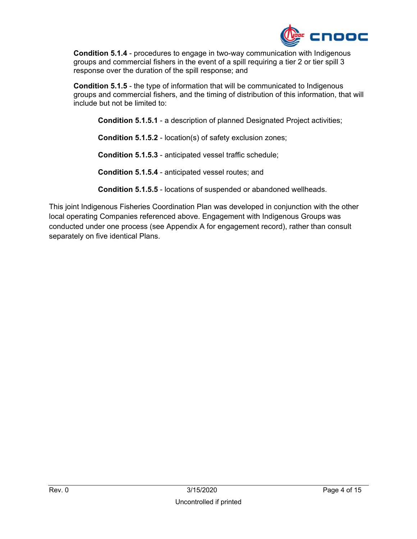

**Condition 5.1.4** - procedures to engage in two-way communication with Indigenous groups and commercial fishers in the event of a spill requiring a tier 2 or tier spill 3 response over the duration of the spill response; and

**Condition 5.1.5** - the type of information that will be communicated to Indigenous groups and commercial fishers, and the timing of distribution of this information, that will include but not be limited to:

**Condition 5.1.5.1** - a description of planned Designated Project activities;

**Condition 5.1.5.2** - location(s) of safety exclusion zones;

**Condition 5.1.5.3** - anticipated vessel traffic schedule;

**Condition 5.1.5.4** - anticipated vessel routes; and

**Condition 5.1.5.5** - locations of suspended or abandoned wellheads.

This joint Indigenous Fisheries Coordination Plan was developed in conjunction with the other local operating Companies referenced above. Engagement with Indigenous Groups was conducted under one process (see Appendix A for engagement record), rather than consult separately on five identical Plans.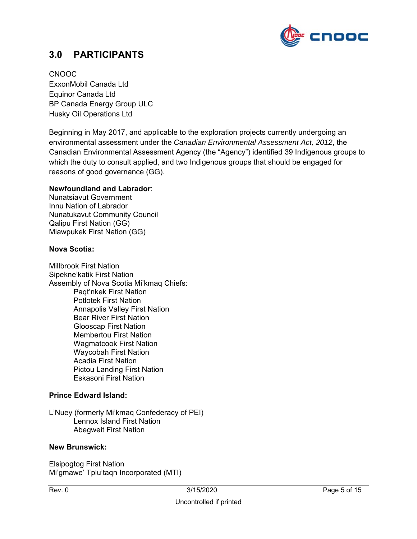

### **3.0 PARTICIPANTS**

CNOOC ExxonMobil Canada Ltd Equinor Canada Ltd BP Canada Energy Group ULC Husky Oil Operations Ltd

Beginning in May 2017, and applicable to the exploration projects currently undergoing an environmental assessment under the *Canadian Environmental Assessment Act, 2012*, the Canadian Environmental Assessment Agency (the "Agency") identified 39 Indigenous groups to which the duty to consult applied, and two Indigenous groups that should be engaged for reasons of good governance (GG).

#### **Newfoundland and Labrador**:

Nunatsiavut Government Innu Nation of Labrador Nunatukavut Community Council Qalipu First Nation (GG) Miawpukek First Nation (GG)

#### **Nova Scotia:**

Millbrook First Nation Sipekne'katik First Nation Assembly of Nova Scotia Mi'kmaq Chiefs: Paqt'nkek First Nation Potlotek First Nation Annapolis Valley First Nation Bear River First Nation Glooscap First Nation Membertou First Nation Wagmatcook First Nation Waycobah First Nation Acadia First Nation Pictou Landing First Nation Eskasoni First Nation

#### **Prince Edward Island:**

L'Nuey (formerly Mi'kmaq Confederacy of PEI) Lennox Island First Nation Abegweit First Nation

#### **New Brunswick:**

Elsipogtog First Nation Mi'gmawe' Tplu'taqn Incorporated (MTI)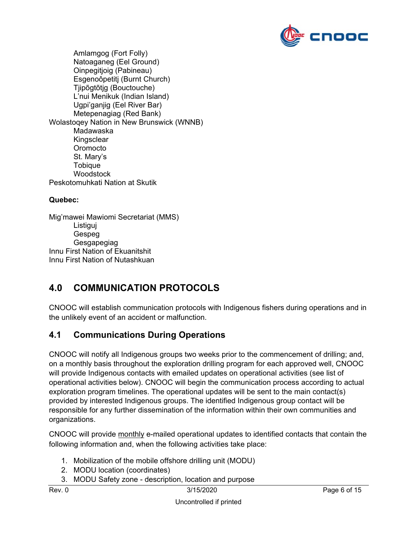

 Amlamgog (Fort Folly) Natoaganeg (Eel Ground) Oinpegitjoig (Pabineau) Esgenoôpetitj (Burnt Church) Tjipõgtõtjg (Bouctouche) L'nui Menikuk (Indian Island) Ugpi'ganjig (Eel River Bar) Metepenagiag (Red Bank) Wolastoqey Nation in New Brunswick (WNNB) Madawaska Kingsclear **Oromocto**  St. Mary's **Tobique** Woodstock Peskotomuhkati Nation at Skutik

#### **Quebec:**

Mig'mawei Mawiomi Secretariat (MMS) Listiguj Gespeg Gesgapegiag Innu First Nation of Ekuanitshit Innu First Nation of Nutashkuan

## **4.0 COMMUNICATION PROTOCOLS**

CNOOC will establish communication protocols with Indigenous fishers during operations and in the unlikely event of an accident or malfunction.

### **4.1 Communications During Operations**

CNOOC will notify all Indigenous groups two weeks prior to the commencement of drilling; and, on a monthly basis throughout the exploration drilling program for each approved well, CNOOC will provide Indigenous contacts with emailed updates on operational activities (see list of operational activities below). CNOOC will begin the communication process according to actual exploration program timelines. The operational updates will be sent to the main contact(s) provided by interested Indigenous groups. The identified Indigenous group contact will be responsible for any further dissemination of the information within their own communities and organizations.

CNOOC will provide monthly e-mailed operational updates to identified contacts that contain the following information and, when the following activities take place:

- 1. Mobilization of the mobile offshore drilling unit (MODU)
- 2. MODU location (coordinates)
- 3. MODU Safety zone description, location and purpose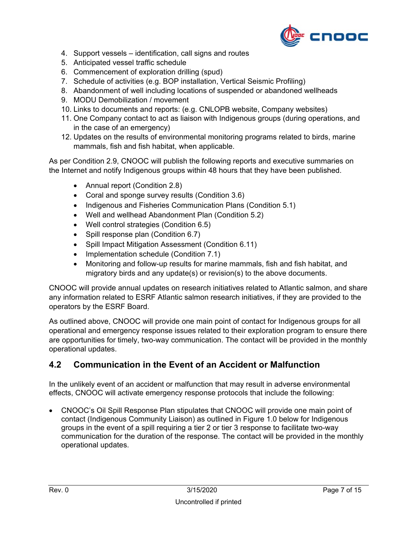

- 4. Support vessels identification, call signs and routes
- 5. Anticipated vessel traffic schedule
- 6. Commencement of exploration drilling (spud)
- 7. Schedule of activities (e.g. BOP installation, Vertical Seismic Profiling)
- 8. Abandonment of well including locations of suspended or abandoned wellheads
- 9. MODU Demobilization / movement
- 10. Links to documents and reports: (e.g. CNLOPB website, Company websites)
- 11. One Company contact to act as liaison with Indigenous groups (during operations, and in the case of an emergency)
- 12. Updates on the results of environmental monitoring programs related to birds, marine mammals, fish and fish habitat, when applicable.

As per Condition 2.9, CNOOC will publish the following reports and executive summaries on the Internet and notify Indigenous groups within 48 hours that they have been published.

- Annual report (Condition 2.8)
- Coral and sponge survey results (Condition 3.6)
- Indigenous and Fisheries Communication Plans (Condition 5.1)
- Well and wellhead Abandonment Plan (Condition 5.2)
- Well control strategies (Condition 6.5)
- $\bullet$  Spill response plan (Condition 6.7)
- Spill Impact Mitigation Assessment (Condition 6.11)
- Implementation schedule (Condition 7.1)
- Monitoring and follow-up results for marine mammals, fish and fish habitat, and migratory birds and any update(s) or revision(s) to the above documents.

CNOOC will provide annual updates on research initiatives related to Atlantic salmon, and share any information related to ESRF Atlantic salmon research initiatives, if they are provided to the operators by the ESRF Board.

As outlined above, CNOOC will provide one main point of contact for Indigenous groups for all operational and emergency response issues related to their exploration program to ensure there are opportunities for timely, two-way communication. The contact will be provided in the monthly operational updates.

### **4.2 Communication in the Event of an Accident or Malfunction**

In the unlikely event of an accident or malfunction that may result in adverse environmental effects, CNOOC will activate emergency response protocols that include the following:

 CNOOC's Oil Spill Response Plan stipulates that CNOOC will provide one main point of contact (Indigenous Community Liaison) as outlined in Figure 1.0 below for Indigenous groups in the event of a spill requiring a tier 2 or tier 3 response to facilitate two-way communication for the duration of the response. The contact will be provided in the monthly operational updates.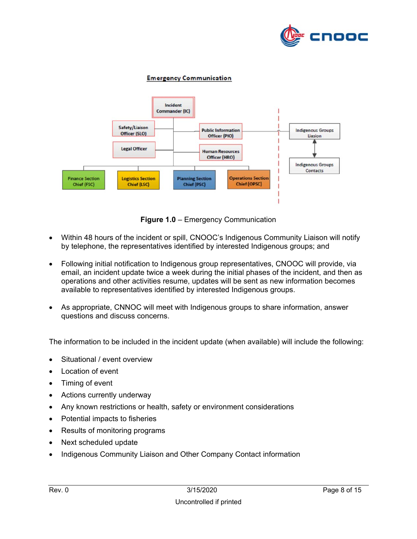

#### **Emergency Communication**



**Figure 1.0** – Emergency Communication

- Within 48 hours of the incident or spill, CNOOC's Indigenous Community Liaison will notify by telephone, the representatives identified by interested Indigenous groups; and
- Following initial notification to Indigenous group representatives, CNOOC will provide, via email, an incident update twice a week during the initial phases of the incident, and then as operations and other activities resume, updates will be sent as new information becomes available to representatives identified by interested Indigenous groups.
- As appropriate, CNNOC will meet with Indigenous groups to share information, answer questions and discuss concerns.

The information to be included in the incident update (when available) will include the following:

- Situational / event overview
- Location of event
- Timing of event
- Actions currently underway
- Any known restrictions or health, safety or environment considerations
- Potential impacts to fisheries
- Results of monitoring programs
- Next scheduled update
- Indigenous Community Liaison and Other Company Contact information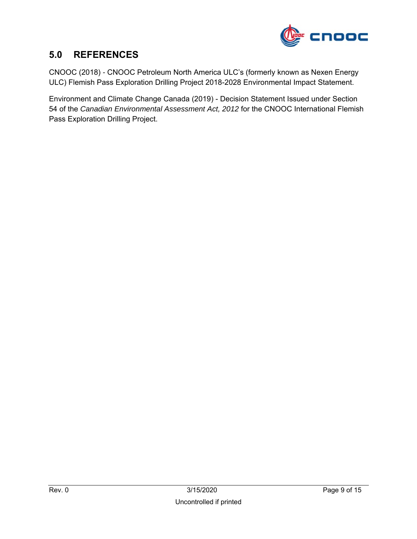

## **5.0 REFERENCES**

CNOOC (2018) *-* CNOOC Petroleum North America ULC's (formerly known as Nexen Energy ULC) Flemish Pass Exploration Drilling Project 2018-2028 Environmental Impact Statement.

Environment and Climate Change Canada (2019) - Decision Statement Issued under Section 54 of the *Canadian Environmental Assessment Act, 2012* for the CNOOC International Flemish Pass Exploration Drilling Project.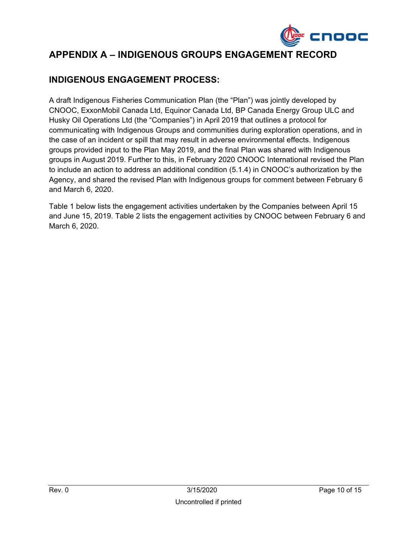

# **APPENDIX A – INDIGENOUS GROUPS ENGAGEMENT RECORD**

### **INDIGENOUS ENGAGEMENT PROCESS:**

A draft Indigenous Fisheries Communication Plan (the "Plan") was jointly developed by CNOOC, ExxonMobil Canada Ltd, Equinor Canada Ltd, BP Canada Energy Group ULC and Husky Oil Operations Ltd (the "Companies") in April 2019 that outlines a protocol for communicating with Indigenous Groups and communities during exploration operations, and in the case of an incident or spill that may result in adverse environmental effects. Indigenous groups provided input to the Plan May 2019, and the final Plan was shared with Indigenous groups in August 2019. Further to this, in February 2020 CNOOC International revised the Plan to include an action to address an additional condition (5.1.4) in CNOOC's authorization by the Agency, and shared the revised Plan with Indigenous groups for comment between February 6 and March 6, 2020.

Table 1 below lists the engagement activities undertaken by the Companies between April 15 and June 15, 2019. Table 2 lists the engagement activities by CNOOC between February 6 and March 6, 2020.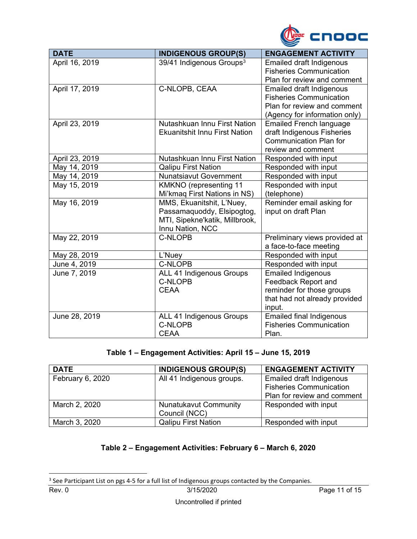

| <b>DATE</b>    | <b>INDIGENOUS GROUP(S)</b>           | <b>ENGAGEMENT ACTIVITY</b>      |
|----------------|--------------------------------------|---------------------------------|
| April 16, 2019 | 39/41 Indigenous Groups <sup>3</sup> | <b>Emailed draft Indigenous</b> |
|                |                                      | <b>Fisheries Communication</b>  |
|                |                                      | Plan for review and comment     |
| April 17, 2019 | C-NLOPB, CEAA                        | <b>Emailed draft Indigenous</b> |
|                |                                      | <b>Fisheries Communication</b>  |
|                |                                      | Plan for review and comment     |
|                |                                      | (Agency for information only)   |
| April 23, 2019 | Nutashkuan Innu First Nation         | <b>Emailed French language</b>  |
|                | <b>Ekuanitshit Innu First Nation</b> | draft Indigenous Fisheries      |
|                |                                      | <b>Communication Plan for</b>   |
|                |                                      | review and comment              |
| April 23, 2019 | Nutashkuan Innu First Nation         | Responded with input            |
| May 14, 2019   | <b>Qalipu First Nation</b>           | Responded with input            |
| May 14, 2019   | <b>Nunatsiavut Government</b>        | Responded with input            |
| May 15, 2019   | <b>KMKNO</b> (representing 11        | Responded with input            |
|                | Mi'kmaq First Nations in NS)         | (telephone)                     |
| May 16, 2019   | MMS, Ekuanitshit, L'Nuey,            | Reminder email asking for       |
|                | Passamaquoddy, Elsipogtog,           | input on draft Plan             |
|                | MTI, Sipekne'katik, Millbrook,       |                                 |
|                | Innu Nation, NCC                     |                                 |
| May 22, 2019   | C-NLOPB                              | Preliminary views provided at   |
|                |                                      | a face-to-face meeting          |
| May 28, 2019   | L'Nuey                               | Responded with input            |
| June 4, 2019   | C-NLOPB                              | Responded with input            |
| June 7, 2019   | ALL 41 Indigenous Groups             | <b>Emailed Indigenous</b>       |
|                | <b>C-NLOPB</b>                       | <b>Feedback Report and</b>      |
|                | <b>CEAA</b>                          | reminder for those groups       |
|                |                                      | that had not already provided   |
|                |                                      | input.                          |
| June 28, 2019  | ALL 41 Indigenous Groups             | <b>Emailed final Indigenous</b> |
|                | <b>C-NLOPB</b>                       | <b>Fisheries Communication</b>  |
|                | <b>CEAA</b>                          | Plan.                           |

#### **Table 1 – Engagement Activities: April 15 – June 15, 2019**

| <b>DATE</b>      | <b>INDIGENOUS GROUP(S)</b>                    | <b>ENGAGEMENT ACTIVITY</b>                                                                       |
|------------------|-----------------------------------------------|--------------------------------------------------------------------------------------------------|
| February 6, 2020 | All 41 Indigenous groups.                     | <b>Emailed draft Indigenous</b><br><b>Fisheries Communication</b><br>Plan for review and comment |
| March 2, 2020    | <b>Nunatukavut Community</b><br>Council (NCC) | Responded with input                                                                             |
| March 3, 2020    | <b>Qalipu First Nation</b>                    | Responded with input                                                                             |

#### **Table 2 – Engagement Activities: February 6 – March 6, 2020**

 $3$  See Participant List on pgs 4-5 for a full list of Indigenous groups contacted by the Companies.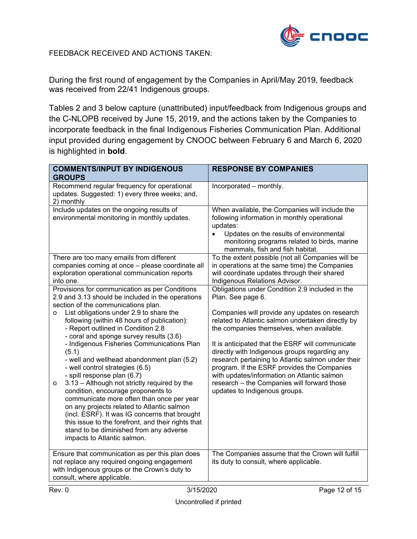

FEEDBACK RECEIVED AND ACTIONS TAKEN:

During the first round of engagement by the Companies in April/May 2019, feedback was received from 22/41 Indigenous groups.

Tables 2 and 3 below capture (unattributed) input/feedback from Indigenous groups and the C-NLOPB received by June 15, 2019, and the actions taken by the Companies to incorporate feedback in the final Indigenous Fisheries Communication Plan. Additional input provided during engagement by CNOOC between February 6 and March 6, 2020 is highlighted in **bold**.

| <b>COMMENTS/INPUT BY INDIGENOUS</b><br><b>GROUPS</b>                                                                                                                                                                                                                                                                                                                                                                                                                                                                                                                                                                                                                                                                                                                                                                                                                                 | <b>RESPONSE BY COMPANIES</b>                                                                                                                                                                                                                                                                                                                                                                                                                                                                                                                                      |
|--------------------------------------------------------------------------------------------------------------------------------------------------------------------------------------------------------------------------------------------------------------------------------------------------------------------------------------------------------------------------------------------------------------------------------------------------------------------------------------------------------------------------------------------------------------------------------------------------------------------------------------------------------------------------------------------------------------------------------------------------------------------------------------------------------------------------------------------------------------------------------------|-------------------------------------------------------------------------------------------------------------------------------------------------------------------------------------------------------------------------------------------------------------------------------------------------------------------------------------------------------------------------------------------------------------------------------------------------------------------------------------------------------------------------------------------------------------------|
| Recommend regular frequency for operational<br>updates. Suggested: 1) every three weeks; and,<br>2) monthly                                                                                                                                                                                                                                                                                                                                                                                                                                                                                                                                                                                                                                                                                                                                                                          | Incorporated - monthly.                                                                                                                                                                                                                                                                                                                                                                                                                                                                                                                                           |
| Include updates on the ongoing results of<br>environmental monitoring in monthly updates.                                                                                                                                                                                                                                                                                                                                                                                                                                                                                                                                                                                                                                                                                                                                                                                            | When available, the Companies will include the<br>following information in monthly operational<br>updates:<br>Updates on the results of environmental<br>$\bullet$<br>monitoring programs related to birds, marine<br>mammals, fish and fish habitat.                                                                                                                                                                                                                                                                                                             |
| There are too many emails from different<br>companies coming at once - please coordinate all<br>exploration operational communication reports<br>into one.                                                                                                                                                                                                                                                                                                                                                                                                                                                                                                                                                                                                                                                                                                                           | To the extent possible (not all Companies will be<br>in operations at the same time) the Companies<br>will coordinate updates through their shared<br>Indigenous Relations Advisor.                                                                                                                                                                                                                                                                                                                                                                               |
| Provisions for communication as per Conditions<br>2.9 and 3.13 should be included in the operations<br>section of the communications plan.<br>List obligations under 2.9 to share the<br>$\circ$<br>following (within 48 hours of publication):<br>- Report outlined in Condition 2.8<br>- coral and sponge survey results (3.6)<br>- Indigenous Fisheries Communications Plan<br>(5.1)<br>- well and wellhead abandonment plan (5.2)<br>- well control strategies (6.5)<br>- spill response plan (6.7)<br>3.13 - Although not strictly required by the<br>$\circ$<br>condition, encourage proponents to<br>communicate more often than once per year<br>on any projects related to Atlantic salmon<br>(incl. ESRF). It was IG concerns that brought<br>this issue to the forefront, and their rights that<br>stand to be diminished from any adverse<br>impacts to Atlantic salmon. | Obligations under Condition 2.9 included in the<br>Plan. See page 6.<br>Companies will provide any updates on research<br>related to Atlantic salmon undertaken directly by<br>the companies themselves, when available.<br>It is anticipated that the ESRF will communicate<br>directly with Indigenous groups regarding any<br>research pertaining to Atlantic salmon under their<br>program. If the ESRF provides the Companies<br>with updates/information on Atlantic salmon<br>research - the Companies will forward those<br>updates to Indigenous groups. |
| Ensure that communication as per this plan does<br>not replace any required ongoing engagement<br>with Indigenous groups or the Crown's duty to<br>consult, where applicable.                                                                                                                                                                                                                                                                                                                                                                                                                                                                                                                                                                                                                                                                                                        | The Companies assume that the Crown will fulfill<br>its duty to consult, where applicable.                                                                                                                                                                                                                                                                                                                                                                                                                                                                        |
| 3/15/2020<br>Rev. 0                                                                                                                                                                                                                                                                                                                                                                                                                                                                                                                                                                                                                                                                                                                                                                                                                                                                  | Page 12 of 15                                                                                                                                                                                                                                                                                                                                                                                                                                                                                                                                                     |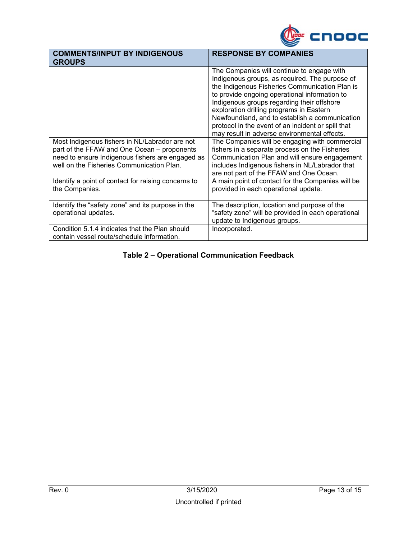

| <b>COMMENTS/INPUT BY INDIGENOUS</b><br><b>GROUPS</b>                                          | <b>RESPONSE BY COMPANIES</b>                                                                                                                                                                                                                                                                                                                                                                                                                                                                                                                          |
|-----------------------------------------------------------------------------------------------|-------------------------------------------------------------------------------------------------------------------------------------------------------------------------------------------------------------------------------------------------------------------------------------------------------------------------------------------------------------------------------------------------------------------------------------------------------------------------------------------------------------------------------------------------------|
| Most Indigenous fishers in NL/Labrador are not<br>part of the FFAW and One Ocean – proponents | The Companies will continue to engage with<br>Indigenous groups, as required. The purpose of<br>the Indigenous Fisheries Communication Plan is<br>to provide ongoing operational information to<br>Indigenous groups regarding their offshore<br>exploration drilling programs in Eastern<br>Newfoundland, and to establish a communication<br>protocol in the event of an incident or spill that<br>may result in adverse environmental effects.<br>The Companies will be engaging with commercial<br>fishers in a separate process on the Fisheries |
| need to ensure Indigenous fishers are engaged as<br>well on the Fisheries Communication Plan. | Communication Plan and will ensure engagement<br>includes Indigenous fishers in NL/Labrador that<br>are not part of the FFAW and One Ocean.                                                                                                                                                                                                                                                                                                                                                                                                           |
| Identify a point of contact for raising concerns to<br>the Companies.                         | A main point of contact for the Companies will be<br>provided in each operational update.                                                                                                                                                                                                                                                                                                                                                                                                                                                             |
| Identify the "safety zone" and its purpose in the<br>operational updates.                     | The description, location and purpose of the<br>"safety zone" will be provided in each operational<br>update to Indigenous groups.                                                                                                                                                                                                                                                                                                                                                                                                                    |
| Condition 5.1.4 indicates that the Plan should<br>contain vessel route/schedule information.  | Incorporated.                                                                                                                                                                                                                                                                                                                                                                                                                                                                                                                                         |

### **Table 2 – Operational Communication Feedback**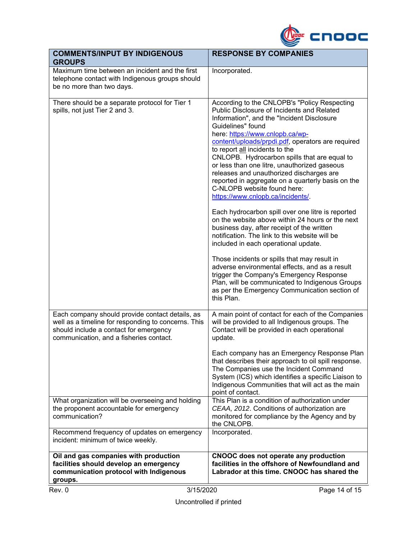

| <b>COMMENTS/INPUT BY INDIGENOUS</b><br><b>GROUPS</b>                                                                                                                                        | <b>RESPONSE BY COMPANIES</b>                                                                                                                                                                                                                                                                                                                                                                                                                                                                                                                                                                                                                                                                                                                                                                                                                                                                                                                                                                                                                                                  |
|---------------------------------------------------------------------------------------------------------------------------------------------------------------------------------------------|-------------------------------------------------------------------------------------------------------------------------------------------------------------------------------------------------------------------------------------------------------------------------------------------------------------------------------------------------------------------------------------------------------------------------------------------------------------------------------------------------------------------------------------------------------------------------------------------------------------------------------------------------------------------------------------------------------------------------------------------------------------------------------------------------------------------------------------------------------------------------------------------------------------------------------------------------------------------------------------------------------------------------------------------------------------------------------|
| Maximum time between an incident and the first<br>telephone contact with Indigenous groups should<br>be no more than two days.                                                              | Incorporated.                                                                                                                                                                                                                                                                                                                                                                                                                                                                                                                                                                                                                                                                                                                                                                                                                                                                                                                                                                                                                                                                 |
| There should be a separate protocol for Tier 1<br>spills, not just Tier 2 and 3.                                                                                                            | According to the CNLOPB's "Policy Respecting<br>Public Disclosure of Incidents and Related<br>Information", and the "Incident Disclosure<br>Guidelines" found<br>here: https://www.cnlopb.ca/wp-<br>content/uploads/prpdi.pdf, operators are required<br>to report all incidents to the<br>CNLOPB. Hydrocarbon spills that are equal to<br>or less than one litre, unauthorized gaseous<br>releases and unauthorized discharges are<br>reported in aggregate on a quarterly basis on the<br>C-NLOPB website found here:<br>https://www.cnlopb.ca/incidents/.<br>Each hydrocarbon spill over one litre is reported<br>on the website above within 24 hours or the next<br>business day, after receipt of the written<br>notification. The link to this website will be<br>included in each operational update.<br>Those incidents or spills that may result in<br>adverse environmental effects, and as a result<br>trigger the Company's Emergency Response<br>Plan, will be communicated to Indigenous Groups<br>as per the Emergency Communication section of<br>this Plan. |
| Each company should provide contact details, as<br>well as a timeline for responding to concerns. This<br>should include a contact for emergency<br>communication, and a fisheries contact. | A main point of contact for each of the Companies<br>will be provided to all Indigenous groups. The<br>Contact will be provided in each operational<br>update.                                                                                                                                                                                                                                                                                                                                                                                                                                                                                                                                                                                                                                                                                                                                                                                                                                                                                                                |
|                                                                                                                                                                                             | Each company has an Emergency Response Plan<br>that describes their approach to oil spill response.<br>The Companies use the Incident Command<br>System (ICS) which identifies a specific Liaison to<br>Indigenous Communities that will act as the main<br>point of contact.                                                                                                                                                                                                                                                                                                                                                                                                                                                                                                                                                                                                                                                                                                                                                                                                 |
| What organization will be overseeing and holding<br>the proponent accountable for emergency<br>communication?                                                                               | This Plan is a condition of authorization under<br>CEAA, 2012. Conditions of authorization are<br>monitored for compliance by the Agency and by<br>the CNLOPB.                                                                                                                                                                                                                                                                                                                                                                                                                                                                                                                                                                                                                                                                                                                                                                                                                                                                                                                |
| Recommend frequency of updates on emergency<br>incident: minimum of twice weekly.                                                                                                           | Incorporated.                                                                                                                                                                                                                                                                                                                                                                                                                                                                                                                                                                                                                                                                                                                                                                                                                                                                                                                                                                                                                                                                 |
| Oil and gas companies with production<br>facilities should develop an emergency<br>communication protocol with Indigenous<br>groups.                                                        | CNOOC does not operate any production<br>facilities in the offshore of Newfoundland and<br>Labrador at this time. CNOOC has shared the                                                                                                                                                                                                                                                                                                                                                                                                                                                                                                                                                                                                                                                                                                                                                                                                                                                                                                                                        |
| 3/15/2020<br>Rev. 0                                                                                                                                                                         | Page 14 of 15                                                                                                                                                                                                                                                                                                                                                                                                                                                                                                                                                                                                                                                                                                                                                                                                                                                                                                                                                                                                                                                                 |